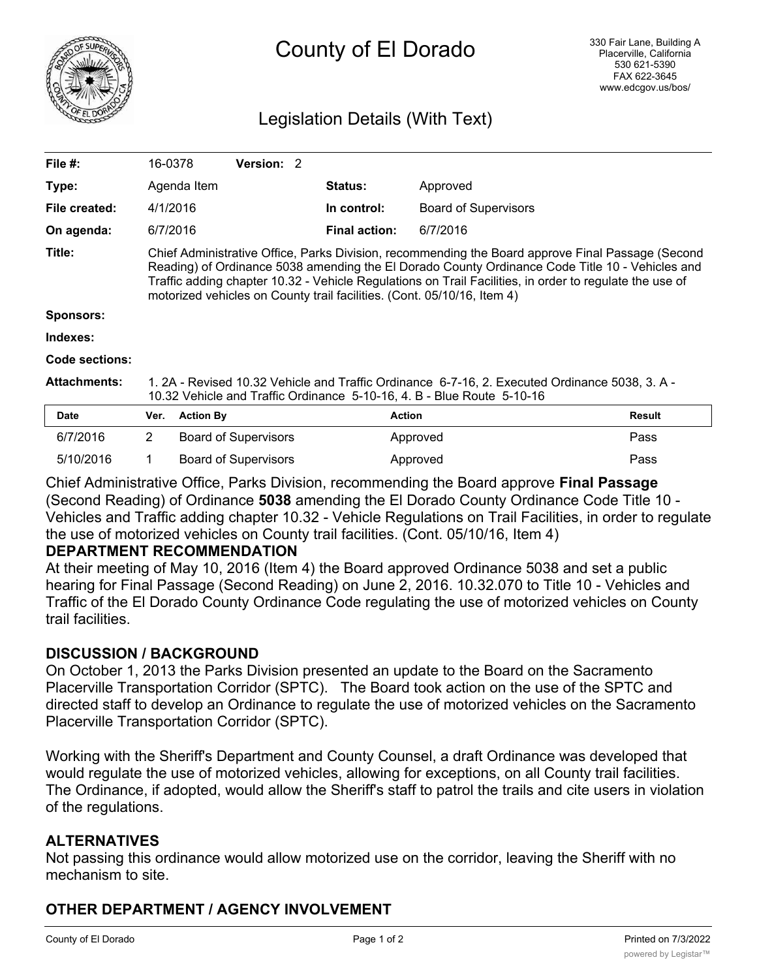

# County of El Dorado

## Legislation Details (With Text)

| File #:             | 16-0378                                                                                                                                                                                                                                                                                                                                                                                    |                  | <b>Version: 2</b>           |  |                      |                             |               |
|---------------------|--------------------------------------------------------------------------------------------------------------------------------------------------------------------------------------------------------------------------------------------------------------------------------------------------------------------------------------------------------------------------------------------|------------------|-----------------------------|--|----------------------|-----------------------------|---------------|
| Type:               |                                                                                                                                                                                                                                                                                                                                                                                            | Agenda Item      |                             |  | <b>Status:</b>       | Approved                    |               |
| File created:       | 4/1/2016                                                                                                                                                                                                                                                                                                                                                                                   |                  |                             |  | In control:          | <b>Board of Supervisors</b> |               |
| On agenda:          | 6/7/2016                                                                                                                                                                                                                                                                                                                                                                                   |                  |                             |  | <b>Final action:</b> | 6/7/2016                    |               |
| Title:              | Chief Administrative Office, Parks Division, recommending the Board approve Final Passage (Second<br>Reading) of Ordinance 5038 amending the El Dorado County Ordinance Code Title 10 - Vehicles and<br>Traffic adding chapter 10.32 - Vehicle Regulations on Trail Facilities, in order to regulate the use of<br>motorized vehicles on County trail facilities. (Cont. 05/10/16, Item 4) |                  |                             |  |                      |                             |               |
| <b>Sponsors:</b>    |                                                                                                                                                                                                                                                                                                                                                                                            |                  |                             |  |                      |                             |               |
| Indexes:            |                                                                                                                                                                                                                                                                                                                                                                                            |                  |                             |  |                      |                             |               |
| Code sections:      |                                                                                                                                                                                                                                                                                                                                                                                            |                  |                             |  |                      |                             |               |
| <b>Attachments:</b> | 1. 2A - Revised 10.32 Vehicle and Traffic Ordinance 6-7-16, 2. Executed Ordinance 5038, 3. A -<br>10.32 Vehicle and Traffic Ordinance 5-10-16, 4. B - Blue Route 5-10-16                                                                                                                                                                                                                   |                  |                             |  |                      |                             |               |
| <b>Date</b>         | Ver.                                                                                                                                                                                                                                                                                                                                                                                       | <b>Action By</b> |                             |  |                      | <b>Action</b>               | <b>Result</b> |
| 6/7/2016            | 2                                                                                                                                                                                                                                                                                                                                                                                          |                  | <b>Board of Supervisors</b> |  |                      | Approved                    | Pass          |
|                     |                                                                                                                                                                                                                                                                                                                                                                                            |                  |                             |  |                      |                             |               |

Chief Administrative Office, Parks Division, recommending the Board approve **Final Passage** (Second Reading) of Ordinance **5038** amending the El Dorado County Ordinance Code Title 10 - Vehicles and Traffic adding chapter 10.32 - Vehicle Regulations on Trail Facilities, in order to regulate the use of motorized vehicles on County trail facilities. (Cont. 05/10/16, Item 4)

5/10/2016 1 Board of Supervisors **Approved** Approved Pass

## **DEPARTMENT RECOMMENDATION**

At their meeting of May 10, 2016 (Item 4) the Board approved Ordinance 5038 and set a public hearing for Final Passage (Second Reading) on June 2, 2016. 10.32.070 to Title 10 - Vehicles and Traffic of the El Dorado County Ordinance Code regulating the use of motorized vehicles on County trail facilities.

## **DISCUSSION / BACKGROUND**

On October 1, 2013 the Parks Division presented an update to the Board on the Sacramento Placerville Transportation Corridor (SPTC). The Board took action on the use of the SPTC and directed staff to develop an Ordinance to regulate the use of motorized vehicles on the Sacramento Placerville Transportation Corridor (SPTC).

Working with the Sheriff's Department and County Counsel, a draft Ordinance was developed that would regulate the use of motorized vehicles, allowing for exceptions, on all County trail facilities. The Ordinance, if adopted, would allow the Sheriff's staff to patrol the trails and cite users in violation of the regulations.

## **ALTERNATIVES**

Not passing this ordinance would allow motorized use on the corridor, leaving the Sheriff with no mechanism to site.

## **OTHER DEPARTMENT / AGENCY INVOLVEMENT**